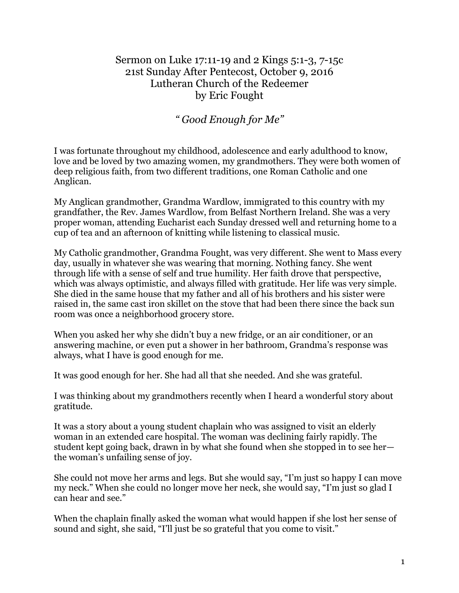## Sermon on Luke 17:11-19 and 2 Kings 5:1-3, 7-15c 21st Sunday After Pentecost, October 9, 2016 Lutheran Church of the Redeemer by Eric Fought

*" Good Enough for Me"*

I was fortunate throughout my childhood, adolescence and early adulthood to know, love and be loved by two amazing women, my grandmothers. They were both women of deep religious faith, from two different traditions, one Roman Catholic and one Anglican.

My Anglican grandmother, Grandma Wardlow, immigrated to this country with my grandfather, the Rev. James Wardlow, from Belfast Northern Ireland. She was a very proper woman, attending Eucharist each Sunday dressed well and returning home to a cup of tea and an afternoon of knitting while listening to classical music.

My Catholic grandmother, Grandma Fought, was very different. She went to Mass every day, usually in whatever she was wearing that morning. Nothing fancy. She went through life with a sense of self and true humility. Her faith drove that perspective, which was always optimistic, and always filled with gratitude. Her life was very simple. She died in the same house that my father and all of his brothers and his sister were raised in, the same cast iron skillet on the stove that had been there since the back sun room was once a neighborhood grocery store.

When you asked her why she didn't buy a new fridge, or an air conditioner, or an answering machine, or even put a shower in her bathroom, Grandma's response was always, what I have is good enough for me.

It was good enough for her. She had all that she needed. And she was grateful.

I was thinking about my grandmothers recently when I heard a wonderful story about gratitude.

It was a story about a young student chaplain who was assigned to visit an elderly woman in an extended care hospital. The woman was declining fairly rapidly. The student kept going back, drawn in by what she found when she stopped in to see her the woman's unfailing sense of joy.

She could not move her arms and legs. But she would say, "I'm just so happy I can move my neck." When she could no longer move her neck, she would say, "I'm just so glad I can hear and see."

When the chaplain finally asked the woman what would happen if she lost her sense of sound and sight, she said, "I'll just be so grateful that you come to visit."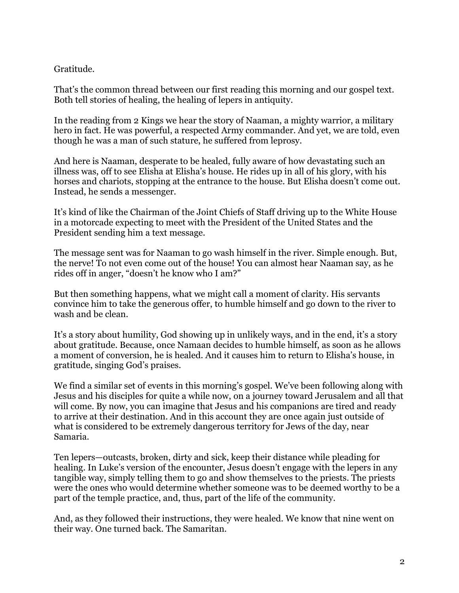## Gratitude.

That's the common thread between our first reading this morning and our gospel text. Both tell stories of healing, the healing of lepers in antiquity.

In the reading from 2 Kings we hear the story of Naaman, a mighty warrior, a military hero in fact. He was powerful, a respected Army commander. And yet, we are told, even though he was a man of such stature, he suffered from leprosy.

And here is Naaman, desperate to be healed, fully aware of how devastating such an illness was, off to see Elisha at Elisha's house. He rides up in all of his glory, with his horses and chariots, stopping at the entrance to the house. But Elisha doesn't come out. Instead, he sends a messenger.

It's kind of like the Chairman of the Joint Chiefs of Staff driving up to the White House in a motorcade expecting to meet with the President of the United States and the President sending him a text message.

The message sent was for Naaman to go wash himself in the river. Simple enough. But, the nerve! To not even come out of the house! You can almost hear Naaman say, as he rides off in anger, "doesn't he know who I am?"

But then something happens, what we might call a moment of clarity. His servants convince him to take the generous offer, to humble himself and go down to the river to wash and be clean.

It's a story about humility, God showing up in unlikely ways, and in the end, it's a story about gratitude. Because, once Namaan decides to humble himself, as soon as he allows a moment of conversion, he is healed. And it causes him to return to Elisha's house, in gratitude, singing God's praises.

We find a similar set of events in this morning's gospel. We've been following along with Jesus and his disciples for quite a while now, on a journey toward Jerusalem and all that will come. By now, you can imagine that Jesus and his companions are tired and ready to arrive at their destination. And in this account they are once again just outside of what is considered to be extremely dangerous territory for Jews of the day, near Samaria.

Ten lepers—outcasts, broken, dirty and sick, keep their distance while pleading for healing. In Luke's version of the encounter, Jesus doesn't engage with the lepers in any tangible way, simply telling them to go and show themselves to the priests. The priests were the ones who would determine whether someone was to be deemed worthy to be a part of the temple practice, and, thus, part of the life of the community.

And, as they followed their instructions, they were healed. We know that nine went on their way. One turned back. The Samaritan.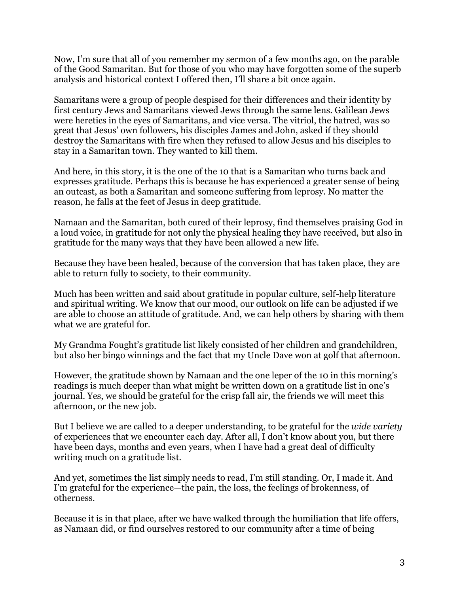Now, I'm sure that all of you remember my sermon of a few months ago, on the parable of the Good Samaritan. But for those of you who may have forgotten some of the superb analysis and historical context I offered then, I'll share a bit once again.

Samaritans were a group of people despised for their differences and their identity by first century Jews and Samaritans viewed Jews through the same lens. Galilean Jews were heretics in the eyes of Samaritans, and vice versa. The vitriol, the hatred, was so great that Jesus' own followers, his disciples James and John, asked if they should destroy the Samaritans with fire when they refused to allow Jesus and his disciples to stay in a Samaritan town. They wanted to kill them.

And here, in this story, it is the one of the 10 that is a Samaritan who turns back and expresses gratitude. Perhaps this is because he has experienced a greater sense of being an outcast, as both a Samaritan and someone suffering from leprosy. No matter the reason, he falls at the feet of Jesus in deep gratitude.

Namaan and the Samaritan, both cured of their leprosy, find themselves praising God in a loud voice, in gratitude for not only the physical healing they have received, but also in gratitude for the many ways that they have been allowed a new life.

Because they have been healed, because of the conversion that has taken place, they are able to return fully to society, to their community.

Much has been written and said about gratitude in popular culture, self-help literature and spiritual writing. We know that our mood, our outlook on life can be adjusted if we are able to choose an attitude of gratitude. And, we can help others by sharing with them what we are grateful for.

My Grandma Fought's gratitude list likely consisted of her children and grandchildren, but also her bingo winnings and the fact that my Uncle Dave won at golf that afternoon.

However, the gratitude shown by Namaan and the one leper of the 10 in this morning's readings is much deeper than what might be written down on a gratitude list in one's journal. Yes, we should be grateful for the crisp fall air, the friends we will meet this afternoon, or the new job.

But I believe we are called to a deeper understanding, to be grateful for the *wide variety* of experiences that we encounter each day. After all, I don't know about you, but there have been days, months and even years, when I have had a great deal of difficulty writing much on a gratitude list.

And yet, sometimes the list simply needs to read, I'm still standing. Or, I made it. And I'm grateful for the experience—the pain, the loss, the feelings of brokenness, of otherness.

Because it is in that place, after we have walked through the humiliation that life offers, as Namaan did, or find ourselves restored to our community after a time of being